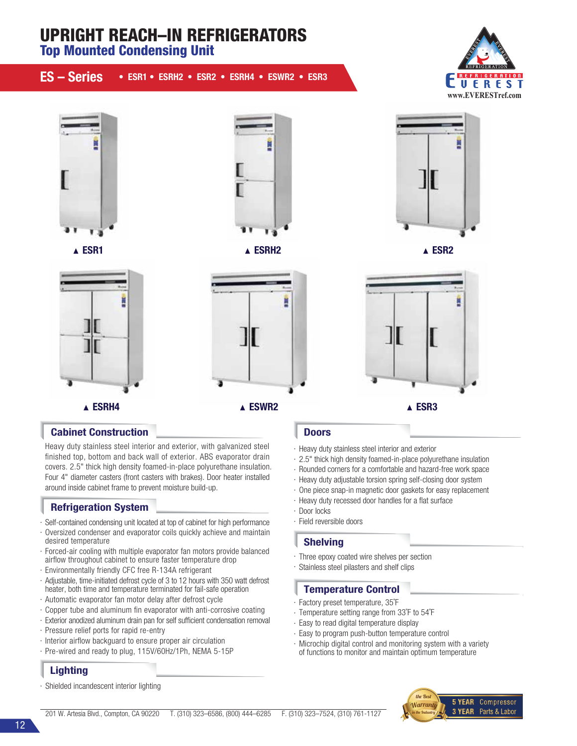# UPRIGHT REACH–IN REFRIGERATORS Top Mounted Condensing Unit ES – Series • ESR1 • ESRH2 • ESR2 • ESRH4 • ESWR2 • ESR3 **REFRIGERATION** F UEREST **www.EVERESTref.com**







ESR1 ESRH2 ESR2



# Cabinet Construction

Heavy duty stainless steel interior and exterior, with galvanized steel nished top, bottom and back wall of exterior. ABS evaporator drain covers. 2.5" thick high density foamed-in-place polyurethane insulation. Four 4" diameter casters (front casters with brakes). Door heater installed around inside cabinet frame to prevent moisture build-up.

# Refrigeration System

- · Self-contained condensing unit located at top of cabinet for high performance
- · Oversized condenser and evaporator coils quickly achieve and maintain desired temperature
- · Forced-air cooling with multiple evaporator fan motors provide balanced airflow throughout cabinet to ensure faster temperature drop
- · Environmentally friendly CFC free R-134A refrigerant
- · Adjustable, time-initiated defrost cycle of 3 to 12 hours with 350 watt defrost heater, both time and temperature terminated for fail-safe operation
- · Automatic evaporator fan motor delay after defrost cycle
- $\cdot$  Copper tube and aluminum fin evaporator with anti-corrosive coating
- · Exterior anodized aluminum drain pan for self sufficient condensation removal
- · Pressure relief ports for rapid re-entry
- $\cdot$  Interior airflow backguard to ensure proper air circulation
- · Pre-wired and ready to plug, 115V/60Hz/1Ph, NEMA 5-15P

# **Lighting**

Shielded incandescent interior lighting

# **Doors**

- · Heavy duty stainless steel interior and exterior
- · 2.5" thick high density foamed-in-place polyurethane insulation
- · Rounded corners for a comfortable and hazard-free work space
- · Heavy duty adjustable torsion spring self-closing door system
- · One piece snap-in magnetic door gaskets for easy replacement
- · Heavy duty recessed door handles for a flat surface
- · Door locks
- · Field reversible doors

### Shelving

- · Three epoxy coated wire shelves per section
- · Stainless steel pilasters and shelf clips

### Temperature Control

- · Factory preset temperature, 35˚F
- · Temperature setting range from 33˚F to 54˚F
- · Easy to read digital temperature display
- · Easy to program push-button temperature control
- · Microchip digital control and monitoring system with a variety of functions to monitor and maintain optimum temperature